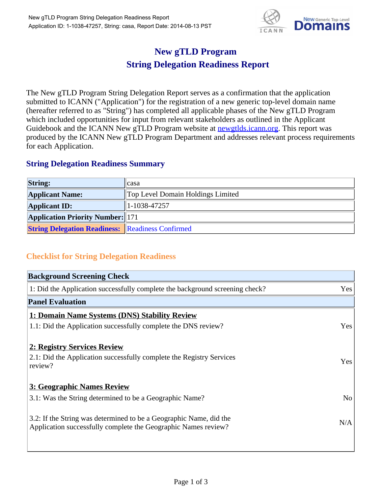

## **New gTLD Program String Delegation Readiness Report**

The New gTLD Program String Delegation Report serves as a confirmation that the application submitted to ICANN ("Application") for the registration of a new generic top-level domain name (hereafter referred to as "String") has completed all applicable phases of the New gTLD Program which included opportunities for input from relevant stakeholders as outlined in the Applicant Guidebook and the ICANN New gTLD Program website at newgtlds.icann.org. This report was produced by the ICANN New gTLD Program Department and addresses relevant process requirements for each Application.

## **String Delegation Readiness Summary**

| <b>String:</b>                                          | casa                              |
|---------------------------------------------------------|-----------------------------------|
| <b>Applicant Name:</b>                                  | Top Level Domain Holdings Limited |
| <b>Applicant ID:</b>                                    | 1-1038-47257                      |
| <b>Application Priority Number:</b> 171                 |                                   |
| <b>String Delegation Readiness: Readiness Confirmed</b> |                                   |

## **Checklist for String Delegation Readiness**

| <b>Background Screening Check</b> |  |  |
|-----------------------------------|--|--|
| Yes                               |  |  |
|                                   |  |  |
|                                   |  |  |
| Yes                               |  |  |
|                                   |  |  |
| <b>Yes</b>                        |  |  |
|                                   |  |  |
| N <sub>o</sub>                    |  |  |
| N/A                               |  |  |
|                                   |  |  |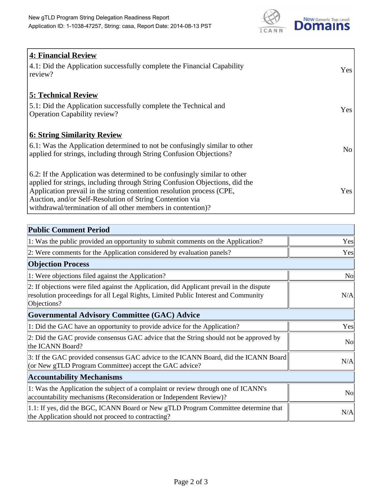

| <b>4: Financial Review</b>                                                  |                 |
|-----------------------------------------------------------------------------|-----------------|
| 4.1: Did the Application successfully complete the Financial Capability     | Yes             |
| review?                                                                     |                 |
|                                                                             |                 |
| <b>5: Technical Review</b>                                                  |                 |
| 5.1: Did the Application successfully complete the Technical and            |                 |
| <b>Operation Capability review?</b>                                         | Yes             |
|                                                                             |                 |
| <b>6: String Similarity Review</b>                                          |                 |
| 6.1: Was the Application determined to not be confusingly similar to other  | No <sub>1</sub> |
| applied for strings, including through String Confusion Objections?         |                 |
|                                                                             |                 |
| 6.2: If the Application was determined to be confusingly similar to other   |                 |
| applied for strings, including through String Confusion Objections, did the |                 |
| Application prevail in the string contention resolution process (CPE,       | Yes             |
| Auction, and/or Self-Resolution of String Contention via                    |                 |
| withdrawal/termination of all other members in contention)?                 |                 |

| <b>Public Comment Period</b>                                                                                                                                                                   |                |
|------------------------------------------------------------------------------------------------------------------------------------------------------------------------------------------------|----------------|
| 1: Was the public provided an opportunity to submit comments on the Application?                                                                                                               | Yes            |
| 2: Were comments for the Application considered by evaluation panels?                                                                                                                          | Yes            |
| <b>Objection Process</b>                                                                                                                                                                       |                |
| 1: Were objections filed against the Application?                                                                                                                                              | N <sub>o</sub> |
| 2: If objections were filed against the Application, did Applicant prevail in the dispute<br>resolution proceedings for all Legal Rights, Limited Public Interest and Community<br>Objections? | N/A            |
| <b>Governmental Advisory Committee (GAC) Advice</b>                                                                                                                                            |                |
| 1: Did the GAC have an opportunity to provide advice for the Application?                                                                                                                      | Yes            |
| 2: Did the GAC provide consensus GAC advice that the String should not be approved by<br>the ICANN Board?                                                                                      | <b>No</b>      |
| 3: If the GAC provided consensus GAC advice to the ICANN Board, did the ICANN Board<br>(or New gTLD Program Committee) accept the GAC advice?                                                  | N/A            |
| <b>Accountability Mechanisms</b>                                                                                                                                                               |                |
| 1: Was the Application the subject of a complaint or review through one of ICANN's<br>accountability mechanisms (Reconsideration or Independent Review)?                                       | N <sub>0</sub> |
| 1.1: If yes, did the BGC, ICANN Board or New gTLD Program Committee determine that<br>the Application should not proceed to contracting?                                                       | N/A            |